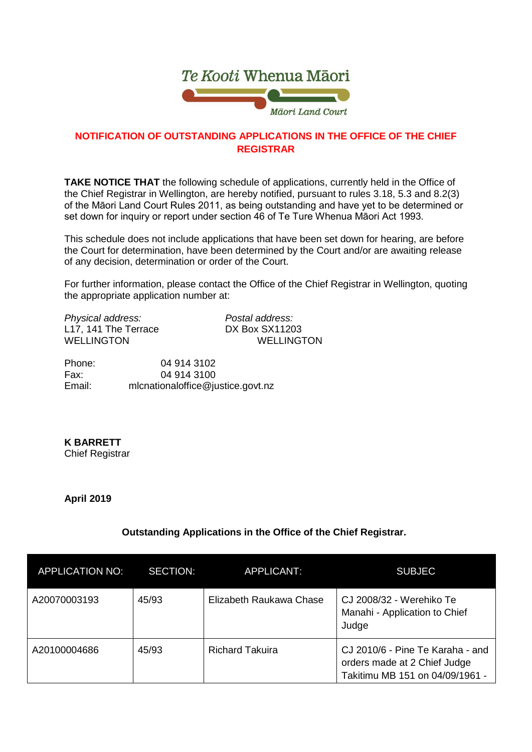

## **NOTIFICATION OF OUTSTANDING APPLICATIONS IN THE OFFICE OF THE CHIEF REGISTRAR**

**TAKE NOTICE THAT** the following schedule of applications, currently held in the Office of the Chief Registrar in Wellington, are hereby notified, pursuant to rules 3.18, 5.3 and 8.2(3) of the Māori Land Court Rules 2011, as being outstanding and have yet to be determined or set down for inquiry or report under section 46 of Te Ture Whenua Māori Act 1993.

This schedule does not include applications that have been set down for hearing, are before the Court for determination, have been determined by the Court and/or are awaiting release of any decision, determination or order of the Court.

For further information, please contact the Office of the Chief Registrar in Wellington, quoting the appropriate application number at:

*Physical address: Postal address:* L17, 141 The Terrace<br>WELLINGTON

WELLINGTON

Phone: 04 914 3102 Fax: 04 914 3100<br>Email: mlcnationaloffice@iu mlcnationaloffice@justice.govt.nz

**K BARRETT** Chief Registrar

**April 2019**

## **Outstanding Applications in the Office of the Chief Registrar.**

| APPLICATION NO: | <b>SECTION:</b> | APPLICANT:              | <b>SUBJEC</b>                                                                                       |
|-----------------|-----------------|-------------------------|-----------------------------------------------------------------------------------------------------|
| A20070003193    | 45/93           | Elizabeth Raukawa Chase | CJ 2008/32 - Werehiko Te<br>Manahi - Application to Chief<br>Judge                                  |
| A20100004686    | 45/93           | <b>Richard Takuira</b>  | CJ 2010/6 - Pine Te Karaha - and<br>orders made at 2 Chief Judge<br>Takitimu MB 151 on 04/09/1961 - |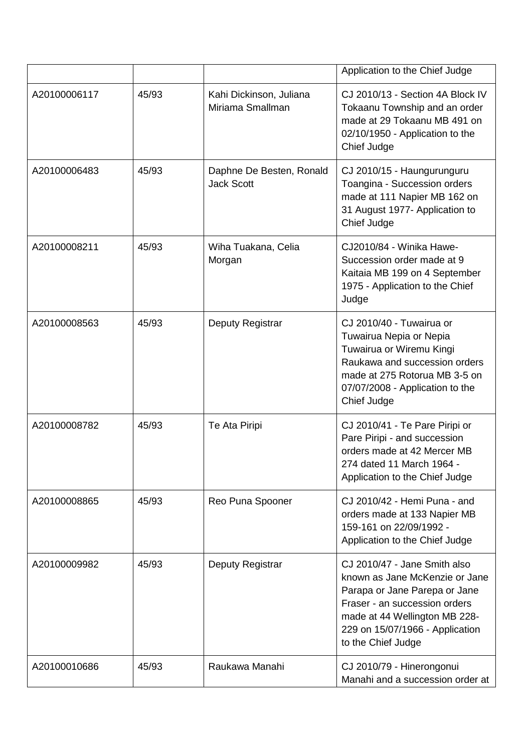|              |       |                                               | Application to the Chief Judge                                                                                                                                                                                             |
|--------------|-------|-----------------------------------------------|----------------------------------------------------------------------------------------------------------------------------------------------------------------------------------------------------------------------------|
| A20100006117 | 45/93 | Kahi Dickinson, Juliana<br>Miriama Smallman   | CJ 2010/13 - Section 4A Block IV<br>Tokaanu Township and an order<br>made at 29 Tokaanu MB 491 on<br>02/10/1950 - Application to the<br>Chief Judge                                                                        |
| A20100006483 | 45/93 | Daphne De Besten, Ronald<br><b>Jack Scott</b> | CJ 2010/15 - Haungurunguru<br>Toangina - Succession orders<br>made at 111 Napier MB 162 on<br>31 August 1977- Application to<br>Chief Judge                                                                                |
| A20100008211 | 45/93 | Wiha Tuakana, Celia<br>Morgan                 | CJ2010/84 - Winika Hawe-<br>Succession order made at 9<br>Kaitaia MB 199 on 4 September<br>1975 - Application to the Chief<br>Judge                                                                                        |
| A20100008563 | 45/93 | Deputy Registrar                              | CJ 2010/40 - Tuwairua or<br>Tuwairua Nepia or Nepia<br>Tuwairua or Wiremu Kingi<br>Raukawa and succession orders<br>made at 275 Rotorua MB 3-5 on<br>07/07/2008 - Application to the<br>Chief Judge                        |
| A20100008782 | 45/93 | Te Ata Piripi                                 | CJ 2010/41 - Te Pare Piripi or<br>Pare Piripi - and succession<br>orders made at 42 Mercer MB<br>274 dated 11 March 1964 -<br>Application to the Chief Judge                                                               |
| A20100008865 | 45/93 | Reo Puna Spooner                              | CJ 2010/42 - Hemi Puna - and<br>orders made at 133 Napier MB<br>159-161 on 22/09/1992 -<br>Application to the Chief Judge                                                                                                  |
| A20100009982 | 45/93 | Deputy Registrar                              | CJ 2010/47 - Jane Smith also<br>known as Jane McKenzie or Jane<br>Parapa or Jane Parepa or Jane<br>Fraser - an succession orders<br>made at 44 Wellington MB 228-<br>229 on 15/07/1966 - Application<br>to the Chief Judge |
| A20100010686 | 45/93 | Raukawa Manahi                                | CJ 2010/79 - Hinerongonui<br>Manahi and a succession order at                                                                                                                                                              |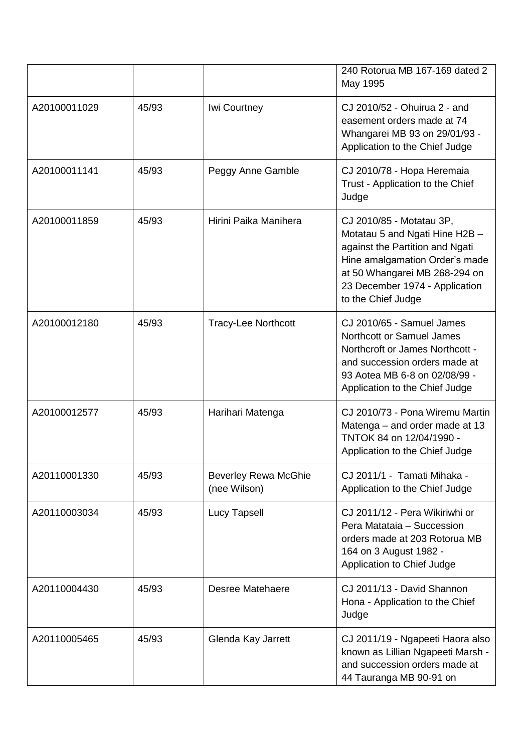|              |       |                                             | 240 Rotorua MB 167-169 dated 2<br>May 1995                                                                                                                                                                               |
|--------------|-------|---------------------------------------------|--------------------------------------------------------------------------------------------------------------------------------------------------------------------------------------------------------------------------|
| A20100011029 | 45/93 | Iwi Courtney                                | CJ 2010/52 - Ohuirua 2 - and<br>easement orders made at 74<br>Whangarei MB 93 on 29/01/93 -<br>Application to the Chief Judge                                                                                            |
| A20100011141 | 45/93 | Peggy Anne Gamble                           | CJ 2010/78 - Hopa Heremaia<br>Trust - Application to the Chief<br>Judge                                                                                                                                                  |
| A20100011859 | 45/93 | Hirini Paika Manihera                       | CJ 2010/85 - Motatau 3P,<br>Motatau 5 and Ngati Hine H2B -<br>against the Partition and Ngati<br>Hine amalgamation Order's made<br>at 50 Whangarei MB 268-294 on<br>23 December 1974 - Application<br>to the Chief Judge |
| A20100012180 | 45/93 | <b>Tracy-Lee Northcott</b>                  | CJ 2010/65 - Samuel James<br>Northcott or Samuel James<br>Northcroft or James Northcott -<br>and succession orders made at<br>93 Aotea MB 6-8 on 02/08/99 -<br>Application to the Chief Judge                            |
| A20100012577 | 45/93 | Harihari Matenga                            | CJ 2010/73 - Pona Wiremu Martin<br>Matenga – and order made at 13<br>TNTOK 84 on 12/04/1990 -<br>Application to the Chief Judge                                                                                          |
| A20110001330 | 45/93 | <b>Beverley Rewa McGhie</b><br>(nee Wilson) | CJ 2011/1 - Tamati Mihaka -<br>Application to the Chief Judge                                                                                                                                                            |
| A20110003034 | 45/93 | <b>Lucy Tapsell</b>                         | CJ 2011/12 - Pera Wikiriwhi or<br>Pera Matataia - Succession<br>orders made at 203 Rotorua MB<br>164 on 3 August 1982 -<br>Application to Chief Judge                                                                    |
| A20110004430 | 45/93 | Desree Matehaere                            | CJ 2011/13 - David Shannon<br>Hona - Application to the Chief<br>Judge                                                                                                                                                   |
| A20110005465 | 45/93 | Glenda Kay Jarrett                          | CJ 2011/19 - Ngapeeti Haora also<br>known as Lillian Ngapeeti Marsh -<br>and succession orders made at<br>44 Tauranga MB 90-91 on                                                                                        |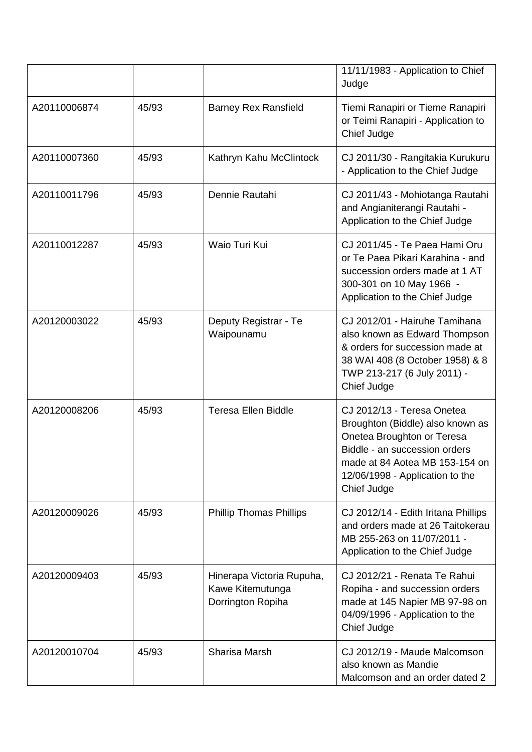|              |       |                                                                    | 11/11/1983 - Application to Chief<br>Judge                                                                                                                                                                        |
|--------------|-------|--------------------------------------------------------------------|-------------------------------------------------------------------------------------------------------------------------------------------------------------------------------------------------------------------|
| A20110006874 | 45/93 | <b>Barney Rex Ransfield</b>                                        | Tiemi Ranapiri or Tieme Ranapiri<br>or Teimi Ranapiri - Application to<br>Chief Judge                                                                                                                             |
| A20110007360 | 45/93 | Kathryn Kahu McClintock                                            | CJ 2011/30 - Rangitakia Kurukuru<br>- Application to the Chief Judge                                                                                                                                              |
| A20110011796 | 45/93 | Dennie Rautahi                                                     | CJ 2011/43 - Mohiotanga Rautahi<br>and Angianiterangi Rautahi -<br>Application to the Chief Judge                                                                                                                 |
| A20110012287 | 45/93 | Waio Turi Kui                                                      | CJ 2011/45 - Te Paea Hami Oru<br>or Te Paea Pikari Karahina - and<br>succession orders made at 1 AT<br>300-301 on 10 May 1966 -<br>Application to the Chief Judge                                                 |
| A20120003022 | 45/93 | Deputy Registrar - Te<br>Waipounamu                                | CJ 2012/01 - Hairuhe Tamihana<br>also known as Edward Thompson<br>& orders for succession made at<br>38 WAI 408 (8 October 1958) & 8<br>TWP 213-217 (6 July 2011) -<br>Chief Judge                                |
| A20120008206 | 45/93 | <b>Teresa Ellen Biddle</b>                                         | CJ 2012/13 - Teresa Onetea<br>Broughton (Biddle) also known as<br>Onetea Broughton or Teresa<br>Biddle - an succession orders<br>made at 84 Aotea MB 153-154 on<br>12/06/1998 - Application to the<br>Chief Judge |
| A20120009026 | 45/93 | <b>Phillip Thomas Phillips</b>                                     | CJ 2012/14 - Edith Iritana Phillips<br>and orders made at 26 Taitokerau<br>MB 255-263 on 11/07/2011 -<br>Application to the Chief Judge                                                                           |
| A20120009403 | 45/93 | Hinerapa Victoria Rupuha,<br>Kawe Kitemutunga<br>Dorrington Ropiha | CJ 2012/21 - Renata Te Rahui<br>Ropiha - and succession orders<br>made at 145 Napier MB 97-98 on<br>04/09/1996 - Application to the<br>Chief Judge                                                                |
| A20120010704 | 45/93 | Sharisa Marsh                                                      | CJ 2012/19 - Maude Malcomson<br>also known as Mandie<br>Malcomson and an order dated 2                                                                                                                            |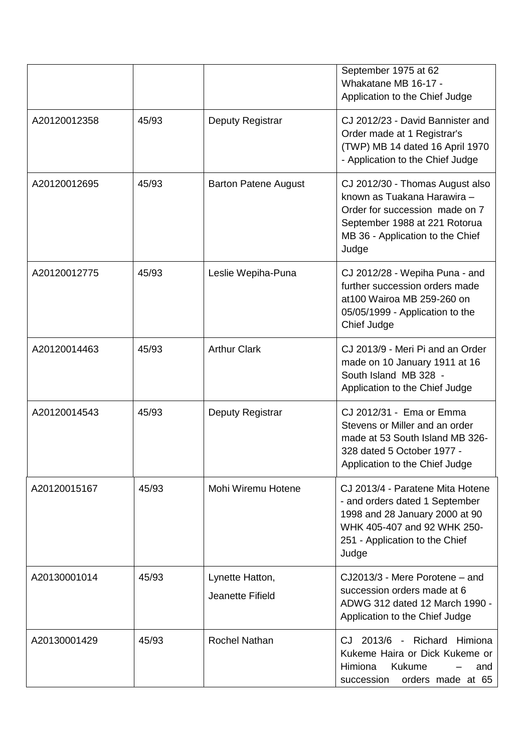|              |       |                                     | September 1975 at 62<br>Whakatane MB 16-17 -<br>Application to the Chief Judge                                                                                                 |
|--------------|-------|-------------------------------------|--------------------------------------------------------------------------------------------------------------------------------------------------------------------------------|
| A20120012358 | 45/93 | Deputy Registrar                    | CJ 2012/23 - David Bannister and<br>Order made at 1 Registrar's<br>(TWP) MB 14 dated 16 April 1970<br>- Application to the Chief Judge                                         |
| A20120012695 | 45/93 | <b>Barton Patene August</b>         | CJ 2012/30 - Thomas August also<br>known as Tuakana Harawira -<br>Order for succession made on 7<br>September 1988 at 221 Rotorua<br>MB 36 - Application to the Chief<br>Judge |
| A20120012775 | 45/93 | Leslie Wepiha-Puna                  | CJ 2012/28 - Wepiha Puna - and<br>further succession orders made<br>at100 Wairoa MB 259-260 on<br>05/05/1999 - Application to the<br>Chief Judge                               |
| A20120014463 | 45/93 | <b>Arthur Clark</b>                 | CJ 2013/9 - Meri Pi and an Order<br>made on 10 January 1911 at 16<br>South Island MB 328 -<br>Application to the Chief Judge                                                   |
| A20120014543 | 45/93 | <b>Deputy Registrar</b>             | CJ 2012/31 - Ema or Emma<br>Stevens or Miller and an order<br>made at 53 South Island MB 326-<br>328 dated 5 October 1977 -<br>Application to the Chief Judge                  |
| A20120015167 | 45/93 | Mohi Wiremu Hotene                  | CJ 2013/4 - Paratene Mita Hotene<br>- and orders dated 1 September<br>1998 and 28 January 2000 at 90<br>WHK 405-407 and 92 WHK 250-<br>251 - Application to the Chief<br>Judge |
| A20130001014 | 45/93 | Lynette Hatton,<br>Jeanette Fifield | CJ2013/3 - Mere Porotene - and<br>succession orders made at 6<br>ADWG 312 dated 12 March 1990 -<br>Application to the Chief Judge                                              |
| A20130001429 | 45/93 | <b>Rochel Nathan</b>                | CJ 2013/6 - Richard Himiona<br>Kukeme Haira or Dick Kukeme or<br>Himiona<br>Kukume<br>and<br>orders made at 65<br>succession                                                   |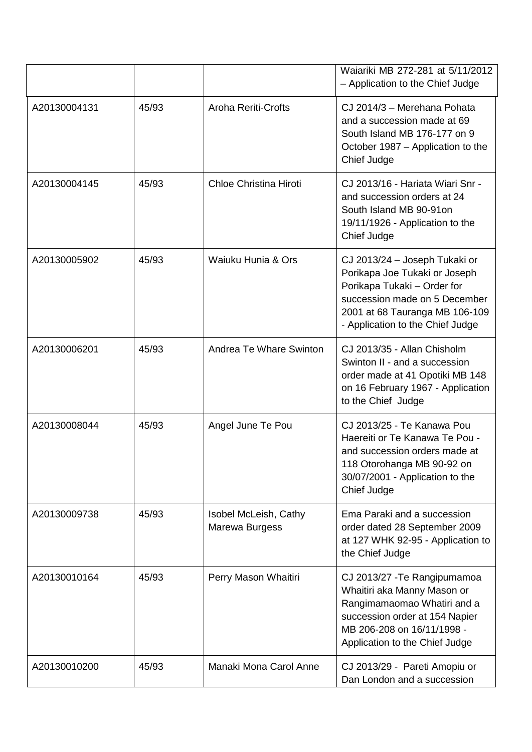|              |       |                                         | Waiariki MB 272-281 at 5/11/2012<br>- Application to the Chief Judge                                                                                                                                 |
|--------------|-------|-----------------------------------------|------------------------------------------------------------------------------------------------------------------------------------------------------------------------------------------------------|
| A20130004131 | 45/93 | <b>Aroha Reriti-Crofts</b>              | CJ 2014/3 - Merehana Pohata<br>and a succession made at 69<br>South Island MB 176-177 on 9<br>October 1987 – Application to the<br>Chief Judge                                                       |
| A20130004145 | 45/93 | Chloe Christina Hiroti                  | CJ 2013/16 - Hariata Wiari Snr -<br>and succession orders at 24<br>South Island MB 90-91on<br>19/11/1926 - Application to the<br>Chief Judge                                                         |
| A20130005902 | 45/93 | Waiuku Hunia & Ors                      | CJ 2013/24 - Joseph Tukaki or<br>Porikapa Joe Tukaki or Joseph<br>Porikapa Tukaki - Order for<br>succession made on 5 December<br>2001 at 68 Tauranga MB 106-109<br>- Application to the Chief Judge |
| A20130006201 | 45/93 | Andrea Te Whare Swinton                 | CJ 2013/35 - Allan Chisholm<br>Swinton II - and a succession<br>order made at 41 Opotiki MB 148<br>on 16 February 1967 - Application<br>to the Chief Judge                                           |
| A20130008044 | 45/93 | Angel June Te Pou                       | CJ 2013/25 - Te Kanawa Pou<br>Haereiti or Te Kanawa Te Pou -<br>and succession orders made at<br>118 Otorohanga MB 90-92 on<br>30/07/2001 - Application to the<br>Chief Judge                        |
| A20130009738 | 45/93 | Isobel McLeish, Cathy<br>Marewa Burgess | Ema Paraki and a succession<br>order dated 28 September 2009<br>at 127 WHK 92-95 - Application to<br>the Chief Judge                                                                                 |
| A20130010164 | 45/93 | Perry Mason Whaitiri                    | CJ 2013/27 - Te Rangipumamoa<br>Whaitiri aka Manny Mason or<br>Rangimamaomao Whatiri and a<br>succession order at 154 Napier<br>MB 206-208 on 16/11/1998 -<br>Application to the Chief Judge         |
| A20130010200 | 45/93 | Manaki Mona Carol Anne                  | CJ 2013/29 - Pareti Amopiu or<br>Dan London and a succession                                                                                                                                         |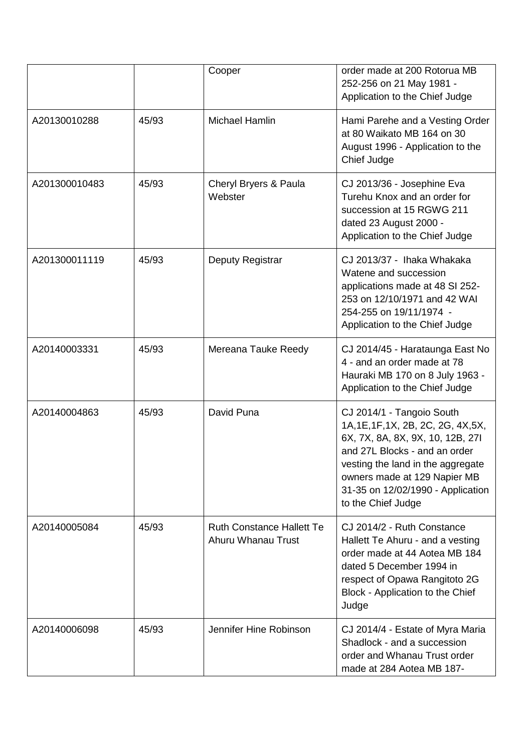|               |       | Cooper                                                 | order made at 200 Rotorua MB<br>252-256 on 21 May 1981 -<br>Application to the Chief Judge                                                                                                                                                                            |
|---------------|-------|--------------------------------------------------------|-----------------------------------------------------------------------------------------------------------------------------------------------------------------------------------------------------------------------------------------------------------------------|
| A20130010288  | 45/93 | Michael Hamlin                                         | Hami Parehe and a Vesting Order<br>at 80 Waikato MB 164 on 30<br>August 1996 - Application to the<br>Chief Judge                                                                                                                                                      |
| A201300010483 | 45/93 | Cheryl Bryers & Paula<br>Webster                       | CJ 2013/36 - Josephine Eva<br>Turehu Knox and an order for<br>succession at 15 RGWG 211<br>dated 23 August 2000 -<br>Application to the Chief Judge                                                                                                                   |
| A201300011119 | 45/93 | Deputy Registrar                                       | CJ 2013/37 - Ihaka Whakaka<br>Watene and succession<br>applications made at 48 SI 252-<br>253 on 12/10/1971 and 42 WAI<br>254-255 on 19/11/1974 -<br>Application to the Chief Judge                                                                                   |
| A20140003331  | 45/93 | Mereana Tauke Reedy                                    | CJ 2014/45 - Harataunga East No<br>4 - and an order made at 78<br>Hauraki MB 170 on 8 July 1963 -<br>Application to the Chief Judge                                                                                                                                   |
| A20140004863  | 45/93 | David Puna                                             | CJ 2014/1 - Tangoio South<br>1A, 1E, 1F, 1X, 2B, 2C, 2G, 4X, 5X,<br>6X, 7X, 8A, 8X, 9X, 10, 12B, 27I<br>and 27L Blocks - and an order<br>vesting the land in the aggregate<br>owners made at 129 Napier MB<br>31-35 on 12/02/1990 - Application<br>to the Chief Judge |
| A20140005084  | 45/93 | <b>Ruth Constance Hallett Te</b><br>Ahuru Whanau Trust | CJ 2014/2 - Ruth Constance<br>Hallett Te Ahuru - and a vesting<br>order made at 44 Aotea MB 184<br>dated 5 December 1994 in<br>respect of Opawa Rangitoto 2G<br>Block - Application to the Chief<br>Judge                                                             |
| A20140006098  | 45/93 | Jennifer Hine Robinson                                 | CJ 2014/4 - Estate of Myra Maria<br>Shadlock - and a succession<br>order and Whanau Trust order<br>made at 284 Aotea MB 187-                                                                                                                                          |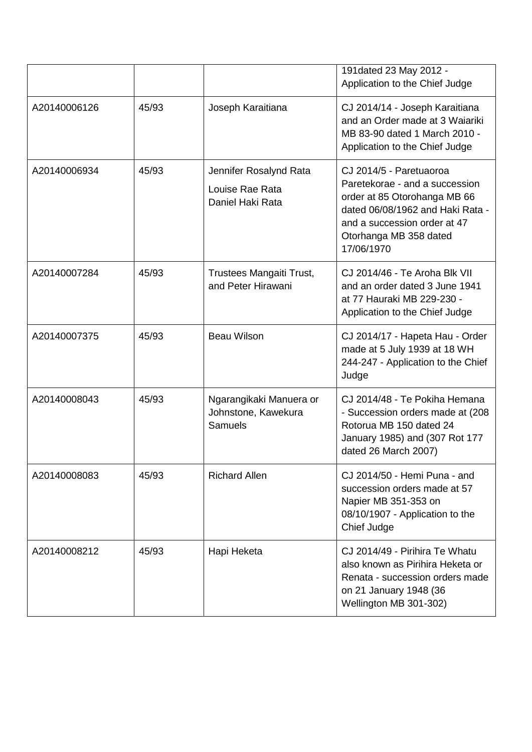|              |       |                                                               | 191 dated 23 May 2012 -<br>Application to the Chief Judge                                                                                                                                             |
|--------------|-------|---------------------------------------------------------------|-------------------------------------------------------------------------------------------------------------------------------------------------------------------------------------------------------|
| A20140006126 | 45/93 | Joseph Karaitiana                                             | CJ 2014/14 - Joseph Karaitiana<br>and an Order made at 3 Waiariki<br>MB 83-90 dated 1 March 2010 -<br>Application to the Chief Judge                                                                  |
| A20140006934 | 45/93 | Jennifer Rosalynd Rata<br>Louise Rae Rata<br>Daniel Haki Rata | CJ 2014/5 - Paretuaoroa<br>Paretekorae - and a succession<br>order at 85 Otorohanga MB 66<br>dated 06/08/1962 and Haki Rata -<br>and a succession order at 47<br>Otorhanga MB 358 dated<br>17/06/1970 |
| A20140007284 | 45/93 | Trustees Mangaiti Trust,<br>and Peter Hirawani                | CJ 2014/46 - Te Aroha Blk VII<br>and an order dated 3 June 1941<br>at 77 Hauraki MB 229-230 -<br>Application to the Chief Judge                                                                       |
| A20140007375 | 45/93 | <b>Beau Wilson</b>                                            | CJ 2014/17 - Hapeta Hau - Order<br>made at 5 July 1939 at 18 WH<br>244-247 - Application to the Chief<br>Judge                                                                                        |
| A20140008043 | 45/93 | Ngarangikaki Manuera or<br>Johnstone, Kawekura<br>Samuels     | CJ 2014/48 - Te Pokiha Hemana<br>- Succession orders made at (208<br>Rotorua MB 150 dated 24<br>January 1985) and (307 Rot 177<br>dated 26 March 2007)                                                |
| A20140008083 | 45/93 | <b>Richard Allen</b>                                          | CJ 2014/50 - Hemi Puna - and<br>succession orders made at 57<br>Napier MB 351-353 on<br>08/10/1907 - Application to the<br>Chief Judge                                                                |
| A20140008212 | 45/93 | Hapi Heketa                                                   | CJ 2014/49 - Pirihira Te Whatu<br>also known as Pirihira Heketa or<br>Renata - succession orders made<br>on 21 January 1948 (36<br>Wellington MB 301-302)                                             |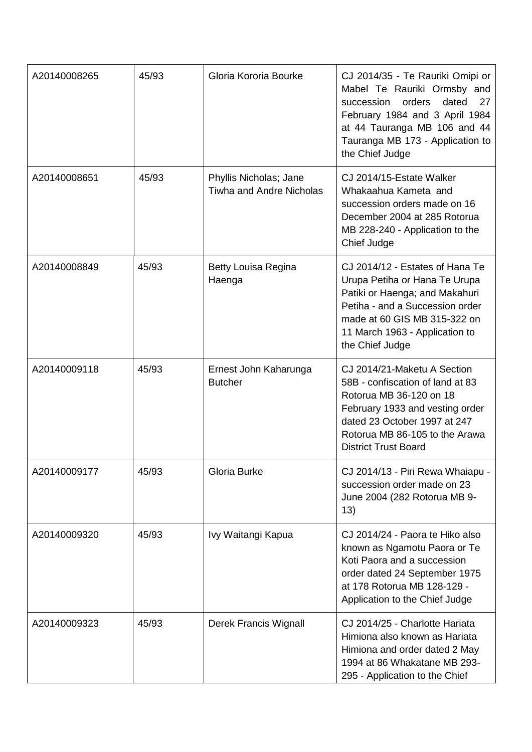| A20140008265 | 45/93 | Gloria Kororia Bourke                                     | CJ 2014/35 - Te Rauriki Omipi or<br>Mabel Te Rauriki Ormsby and<br>orders<br>dated<br>27<br>succession<br>February 1984 and 3 April 1984<br>at 44 Tauranga MB 106 and 44<br>Tauranga MB 173 - Application to<br>the Chief Judge |
|--------------|-------|-----------------------------------------------------------|---------------------------------------------------------------------------------------------------------------------------------------------------------------------------------------------------------------------------------|
| A20140008651 | 45/93 | Phyllis Nicholas; Jane<br><b>Tiwha and Andre Nicholas</b> | CJ 2014/15-Estate Walker<br>Whakaahua Kameta and<br>succession orders made on 16<br>December 2004 at 285 Rotorua<br>MB 228-240 - Application to the<br>Chief Judge                                                              |
| A20140008849 | 45/93 | Betty Louisa Regina<br>Haenga                             | CJ 2014/12 - Estates of Hana Te<br>Urupa Petiha or Hana Te Urupa<br>Patiki or Haenga; and Makahuri<br>Petiha - and a Succession order<br>made at 60 GIS MB 315-322 on<br>11 March 1963 - Application to<br>the Chief Judge      |
| A20140009118 | 45/93 | Ernest John Kaharunga<br><b>Butcher</b>                   | CJ 2014/21-Maketu A Section<br>58B - confiscation of land at 83<br>Rotorua MB 36-120 on 18<br>February 1933 and vesting order<br>dated 23 October 1997 at 247<br>Rotorua MB 86-105 to the Arawa<br><b>District Trust Board</b>  |
| A20140009177 | 45/93 | Gloria Burke                                              | CJ 2014/13 - Piri Rewa Whaiapu -<br>succession order made on 23<br>June 2004 (282 Rotorua MB 9-<br>13)                                                                                                                          |
| A20140009320 | 45/93 | Ivy Waitangi Kapua                                        | CJ 2014/24 - Paora te Hiko also<br>known as Ngamotu Paora or Te<br>Koti Paora and a succession<br>order dated 24 September 1975<br>at 178 Rotorua MB 128-129 -<br>Application to the Chief Judge                                |
| A20140009323 | 45/93 | Derek Francis Wignall                                     | CJ 2014/25 - Charlotte Hariata<br>Himiona also known as Hariata<br>Himiona and order dated 2 May<br>1994 at 86 Whakatane MB 293-<br>295 - Application to the Chief                                                              |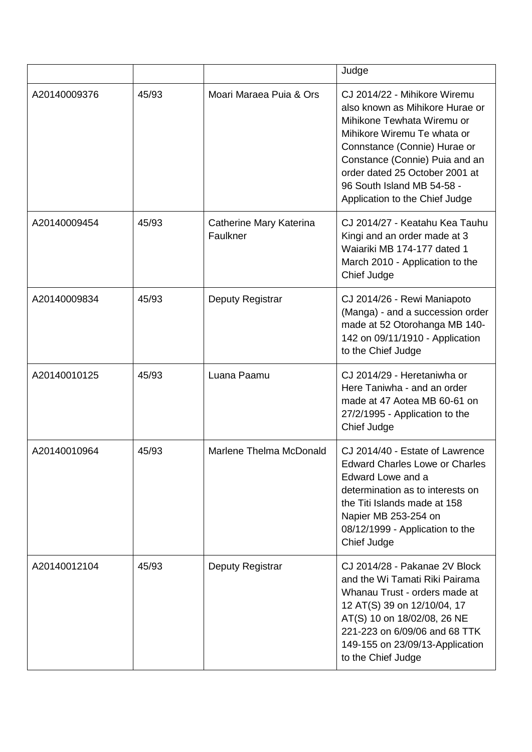|              |       |                                     | Judge                                                                                                                                                                                                                                                                                            |
|--------------|-------|-------------------------------------|--------------------------------------------------------------------------------------------------------------------------------------------------------------------------------------------------------------------------------------------------------------------------------------------------|
| A20140009376 | 45/93 | Moari Maraea Puia & Ors             | CJ 2014/22 - Mihikore Wiremu<br>also known as Mihikore Hurae or<br>Mihikone Tewhata Wiremu or<br>Mihikore Wiremu Te whata or<br>Connstance (Connie) Hurae or<br>Constance (Connie) Puia and an<br>order dated 25 October 2001 at<br>96 South Island MB 54-58 -<br>Application to the Chief Judge |
| A20140009454 | 45/93 | Catherine Mary Katerina<br>Faulkner | CJ 2014/27 - Keatahu Kea Tauhu<br>Kingi and an order made at 3<br>Waiariki MB 174-177 dated 1<br>March 2010 - Application to the<br>Chief Judge                                                                                                                                                  |
| A20140009834 | 45/93 | Deputy Registrar                    | CJ 2014/26 - Rewi Maniapoto<br>(Manga) - and a succession order<br>made at 52 Otorohanga MB 140-<br>142 on 09/11/1910 - Application<br>to the Chief Judge                                                                                                                                        |
| A20140010125 | 45/93 | Luana Paamu                         | CJ 2014/29 - Heretaniwha or<br>Here Taniwha - and an order<br>made at 47 Aotea MB 60-61 on<br>27/2/1995 - Application to the<br>Chief Judge                                                                                                                                                      |
| A20140010964 | 45/93 | Marlene Thelma McDonald             | CJ 2014/40 - Estate of Lawrence<br><b>Edward Charles Lowe or Charles</b><br>Edward Lowe and a<br>determination as to interests on<br>the Titi Islands made at 158<br>Napier MB 253-254 on<br>08/12/1999 - Application to the<br>Chief Judge                                                      |
| A20140012104 | 45/93 | Deputy Registrar                    | CJ 2014/28 - Pakanae 2V Block<br>and the Wi Tamati Riki Pairama<br>Whanau Trust - orders made at<br>12 AT(S) 39 on 12/10/04, 17<br>AT(S) 10 on 18/02/08, 26 NE<br>221-223 on 6/09/06 and 68 TTK<br>149-155 on 23/09/13-Application<br>to the Chief Judge                                         |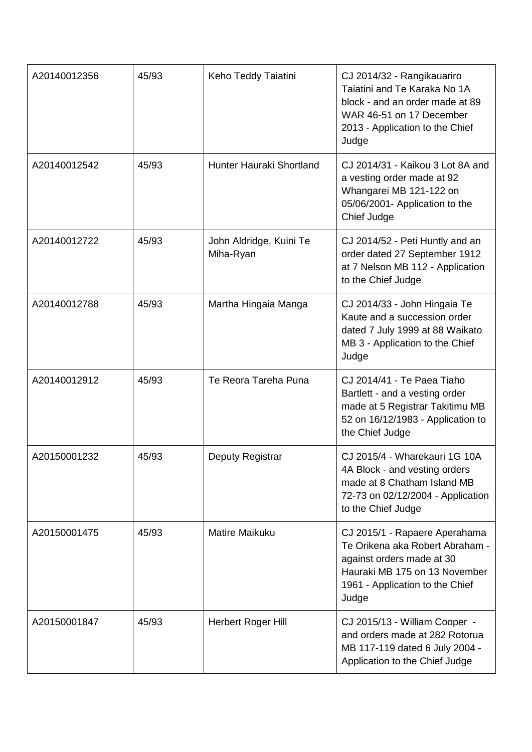| A20140012356 | 45/93 | Keho Teddy Taiatini                  | CJ 2014/32 - Rangikauariro<br>Taiatini and Te Karaka No 1A<br>block - and an order made at 89<br>WAR 46-51 on 17 December<br>2013 - Application to the Chief<br>Judge      |
|--------------|-------|--------------------------------------|----------------------------------------------------------------------------------------------------------------------------------------------------------------------------|
| A20140012542 | 45/93 | <b>Hunter Hauraki Shortland</b>      | CJ 2014/31 - Kaikou 3 Lot 8A and<br>a vesting order made at 92<br>Whangarei MB 121-122 on<br>05/06/2001- Application to the<br>Chief Judge                                 |
| A20140012722 | 45/93 | John Aldridge, Kuini Te<br>Miha-Ryan | CJ 2014/52 - Peti Huntly and an<br>order dated 27 September 1912<br>at 7 Nelson MB 112 - Application<br>to the Chief Judge                                                 |
| A20140012788 | 45/93 | Martha Hingaia Manga                 | CJ 2014/33 - John Hingaia Te<br>Kaute and a succession order<br>dated 7 July 1999 at 88 Waikato<br>MB 3 - Application to the Chief<br>Judge                                |
| A20140012912 | 45/93 | Te Reora Tareha Puna                 | CJ 2014/41 - Te Paea Tiaho<br>Bartlett - and a vesting order<br>made at 5 Registrar Takitimu MB<br>52 on 16/12/1983 - Application to<br>the Chief Judge                    |
| A20150001232 | 45/93 | Deputy Registrar                     | CJ 2015/4 - Wharekauri 1G 10A<br>4A Block - and vesting orders<br>made at 8 Chatham Island MB<br>72-73 on 02/12/2004 - Application<br>to the Chief Judge                   |
| A20150001475 | 45/93 | <b>Matire Maikuku</b>                | CJ 2015/1 - Rapaere Aperahama<br>Te Orikena aka Robert Abraham -<br>against orders made at 30<br>Hauraki MB 175 on 13 November<br>1961 - Application to the Chief<br>Judge |
| A20150001847 | 45/93 | Herbert Roger Hill                   | CJ 2015/13 - William Cooper -<br>and orders made at 282 Rotorua<br>MB 117-119 dated 6 July 2004 -<br>Application to the Chief Judge                                        |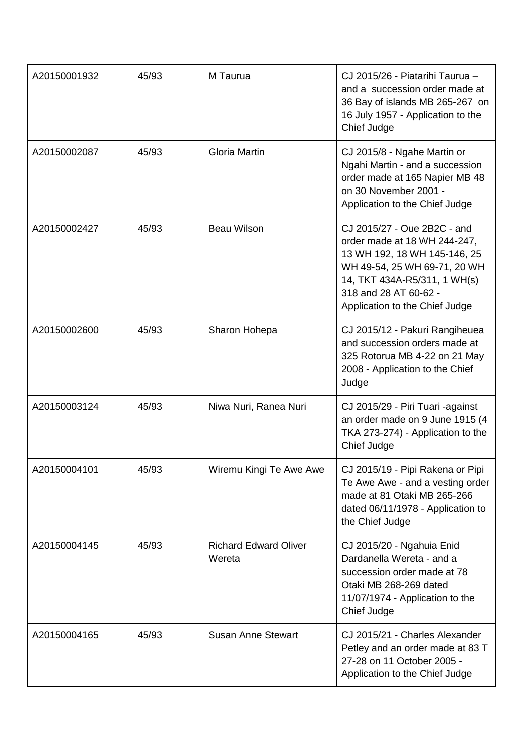| A20150001932 | 45/93 | M Taurua                               | CJ 2015/26 - Piatarihi Taurua -<br>and a succession order made at<br>36 Bay of islands MB 265-267 on<br>16 July 1957 - Application to the<br>Chief Judge                                                               |
|--------------|-------|----------------------------------------|------------------------------------------------------------------------------------------------------------------------------------------------------------------------------------------------------------------------|
| A20150002087 | 45/93 | <b>Gloria Martin</b>                   | CJ 2015/8 - Ngahe Martin or<br>Ngahi Martin - and a succession<br>order made at 165 Napier MB 48<br>on 30 November 2001 -<br>Application to the Chief Judge                                                            |
| A20150002427 | 45/93 | <b>Beau Wilson</b>                     | CJ 2015/27 - Oue 2B2C - and<br>order made at 18 WH 244-247,<br>13 WH 192, 18 WH 145-146, 25<br>WH 49-54, 25 WH 69-71, 20 WH<br>14, TKT 434A-R5/311, 1 WH(s)<br>318 and 28 AT 60-62 -<br>Application to the Chief Judge |
| A20150002600 | 45/93 | Sharon Hohepa                          | CJ 2015/12 - Pakuri Rangiheuea<br>and succession orders made at<br>325 Rotorua MB 4-22 on 21 May<br>2008 - Application to the Chief<br>Judge                                                                           |
| A20150003124 | 45/93 | Niwa Nuri, Ranea Nuri                  | CJ 2015/29 - Piri Tuari -against<br>an order made on 9 June 1915 (4<br>TKA 273-274) - Application to the<br>Chief Judge                                                                                                |
| A20150004101 | 45/93 | Wiremu Kingi Te Awe Awe                | CJ 2015/19 - Pipi Rakena or Pipi<br>Te Awe Awe - and a vesting order<br>made at 81 Otaki MB 265-266<br>dated 06/11/1978 - Application to<br>the Chief Judge                                                            |
| A20150004145 | 45/93 | <b>Richard Edward Oliver</b><br>Wereta | CJ 2015/20 - Ngahuia Enid<br>Dardanella Wereta - and a<br>succession order made at 78<br>Otaki MB 268-269 dated<br>11/07/1974 - Application to the<br>Chief Judge                                                      |
| A20150004165 | 45/93 | <b>Susan Anne Stewart</b>              | CJ 2015/21 - Charles Alexander<br>Petley and an order made at 83 T<br>27-28 on 11 October 2005 -<br>Application to the Chief Judge                                                                                     |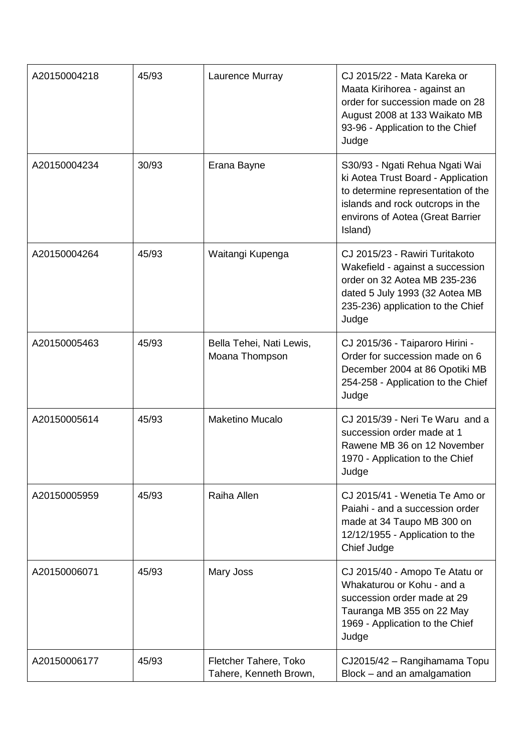| A20150004218 | 45/93 | Laurence Murray                                 | CJ 2015/22 - Mata Kareka or<br>Maata Kirihorea - against an<br>order for succession made on 28<br>August 2008 at 133 Waikato MB<br>93-96 - Application to the Chief<br>Judge                  |
|--------------|-------|-------------------------------------------------|-----------------------------------------------------------------------------------------------------------------------------------------------------------------------------------------------|
| A20150004234 | 30/93 | Erana Bayne                                     | S30/93 - Ngati Rehua Ngati Wai<br>ki Aotea Trust Board - Application<br>to determine representation of the<br>islands and rock outcrops in the<br>environs of Aotea (Great Barrier<br>Island) |
| A20150004264 | 45/93 | Waitangi Kupenga                                | CJ 2015/23 - Rawiri Turitakoto<br>Wakefield - against a succession<br>order on 32 Aotea MB 235-236<br>dated 5 July 1993 (32 Aotea MB<br>235-236) application to the Chief<br>Judge            |
| A20150005463 | 45/93 | Bella Tehei, Nati Lewis,<br>Moana Thompson      | CJ 2015/36 - Taiparoro Hirini -<br>Order for succession made on 6<br>December 2004 at 86 Opotiki MB<br>254-258 - Application to the Chief<br>Judge                                            |
| A20150005614 | 45/93 | <b>Maketino Mucalo</b>                          | CJ 2015/39 - Neri Te Waru and a<br>succession order made at 1<br>Rawene MB 36 on 12 November<br>1970 - Application to the Chief<br>Judge                                                      |
| A20150005959 | 45/93 | Raiha Allen                                     | CJ 2015/41 - Wenetia Te Amo or<br>Paiahi - and a succession order<br>made at 34 Taupo MB 300 on<br>12/12/1955 - Application to the<br>Chief Judge                                             |
| A20150006071 | 45/93 | Mary Joss                                       | CJ 2015/40 - Amopo Te Atatu or<br>Whakaturou or Kohu - and a<br>succession order made at 29<br>Tauranga MB 355 on 22 May<br>1969 - Application to the Chief<br>Judge                          |
| A20150006177 | 45/93 | Fletcher Tahere, Toko<br>Tahere, Kenneth Brown, | CJ2015/42 - Rangihamama Topu<br>Block - and an amalgamation                                                                                                                                   |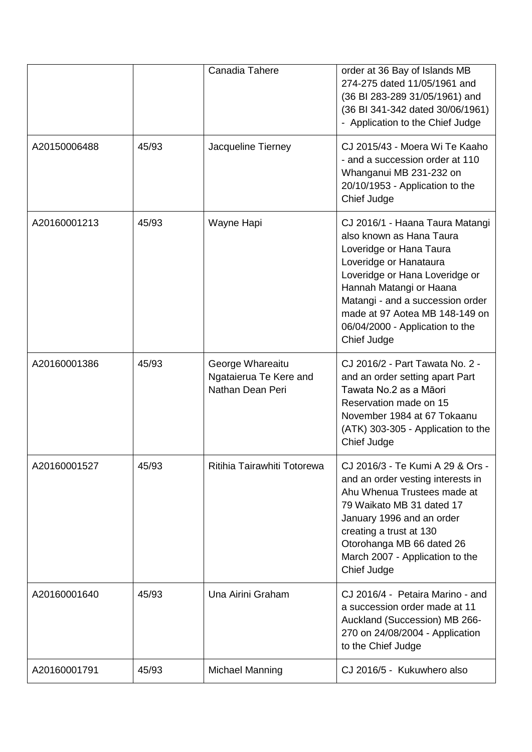|              |       | Canadia Tahere                                                 | order at 36 Bay of Islands MB<br>274-275 dated 11/05/1961 and<br>(36 BI 283-289 31/05/1961) and<br>(36 BI 341-342 dated 30/06/1961)<br>- Application to the Chief Judge                                                                                                                               |
|--------------|-------|----------------------------------------------------------------|-------------------------------------------------------------------------------------------------------------------------------------------------------------------------------------------------------------------------------------------------------------------------------------------------------|
| A20150006488 | 45/93 | Jacqueline Tierney                                             | CJ 2015/43 - Moera Wi Te Kaaho<br>- and a succession order at 110<br>Whanganui MB 231-232 on<br>20/10/1953 - Application to the<br>Chief Judge                                                                                                                                                        |
| A20160001213 | 45/93 | Wayne Hapi                                                     | CJ 2016/1 - Haana Taura Matangi<br>also known as Hana Taura<br>Loveridge or Hana Taura<br>Loveridge or Hanataura<br>Loveridge or Hana Loveridge or<br>Hannah Matangi or Haana<br>Matangi - and a succession order<br>made at 97 Aotea MB 148-149 on<br>06/04/2000 - Application to the<br>Chief Judge |
| A20160001386 | 45/93 | George Whareaitu<br>Ngataierua Te Kere and<br>Nathan Dean Peri | CJ 2016/2 - Part Tawata No. 2 -<br>and an order setting apart Part<br>Tawata No.2 as a Māori<br>Reservation made on 15<br>November 1984 at 67 Tokaanu<br>(ATK) 303-305 - Application to the<br>Chief Judge                                                                                            |
| A20160001527 | 45/93 | Ritihia Tairawhiti Totorewa                                    | CJ 2016/3 - Te Kumi A 29 & Ors -<br>and an order vesting interests in<br>Ahu Whenua Trustees made at<br>79 Waikato MB 31 dated 17<br>January 1996 and an order<br>creating a trust at 130<br>Otorohanga MB 66 dated 26<br>March 2007 - Application to the<br>Chief Judge                              |
| A20160001640 | 45/93 | Una Airini Graham                                              | CJ 2016/4 - Petaira Marino - and<br>a succession order made at 11<br>Auckland (Succession) MB 266-<br>270 on 24/08/2004 - Application<br>to the Chief Judge                                                                                                                                           |
| A20160001791 | 45/93 | <b>Michael Manning</b>                                         | CJ 2016/5 - Kukuwhero also                                                                                                                                                                                                                                                                            |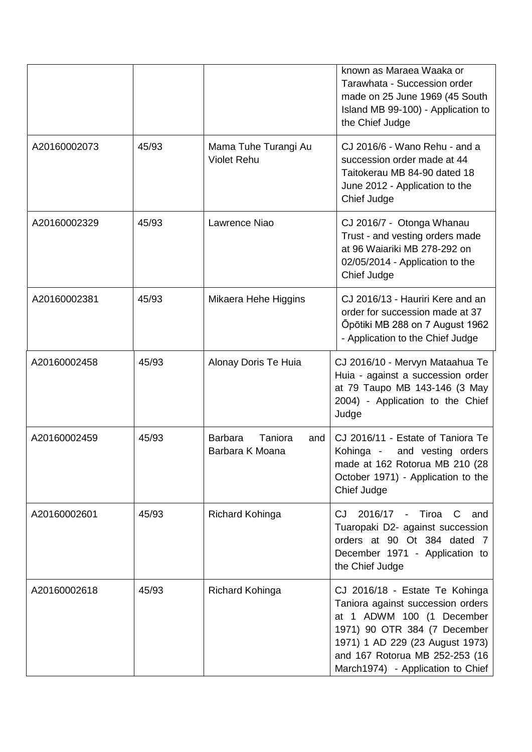|              |       |                                                     | known as Maraea Waaka or<br>Tarawhata - Succession order<br>made on 25 June 1969 (45 South<br>Island MB 99-100) - Application to<br>the Chief Judge                                                                                        |
|--------------|-------|-----------------------------------------------------|--------------------------------------------------------------------------------------------------------------------------------------------------------------------------------------------------------------------------------------------|
| A20160002073 | 45/93 | Mama Tuhe Turangi Au<br><b>Violet Rehu</b>          | CJ 2016/6 - Wano Rehu - and a<br>succession order made at 44<br>Taitokerau MB 84-90 dated 18<br>June 2012 - Application to the<br>Chief Judge                                                                                              |
| A20160002329 | 45/93 | Lawrence Niao                                       | CJ 2016/7 - Otonga Whanau<br>Trust - and vesting orders made<br>at 96 Waiariki MB 278-292 on<br>02/05/2014 - Application to the<br>Chief Judge                                                                                             |
| A20160002381 | 45/93 | Mikaera Hehe Higgins                                | CJ 2016/13 - Hauriri Kere and an<br>order for succession made at 37<br>Opotiki MB 288 on 7 August 1962<br>- Application to the Chief Judge                                                                                                 |
| A20160002458 | 45/93 | Alonay Doris Te Huia                                | CJ 2016/10 - Mervyn Mataahua Te<br>Huia - against a succession order<br>at 79 Taupo MB 143-146 (3 May<br>2004) - Application to the Chief<br>Judge                                                                                         |
| A20160002459 | 45/93 | <b>Barbara</b><br>Taniora<br>and<br>Barbara K Moana | CJ 2016/11 - Estate of Taniora Te<br>and vesting orders<br>Kohinga -<br>made at 162 Rotorua MB 210 (28<br>October 1971) - Application to the<br>Chief Judge                                                                                |
| A20160002601 | 45/93 | Richard Kohinga                                     | CJ.<br>2016/17<br>Tiroa C<br>$\sim$<br>and<br>Tuaropaki D2- against succession<br>orders at 90 Ot 384 dated 7<br>December 1971 - Application to<br>the Chief Judge                                                                         |
| A20160002618 | 45/93 | Richard Kohinga                                     | CJ 2016/18 - Estate Te Kohinga<br>Taniora against succession orders<br>at 1 ADWM 100 (1 December<br>1971) 90 OTR 384 (7 December<br>1971) 1 AD 229 (23 August 1973)<br>and 167 Rotorua MB 252-253 (16<br>March1974) - Application to Chief |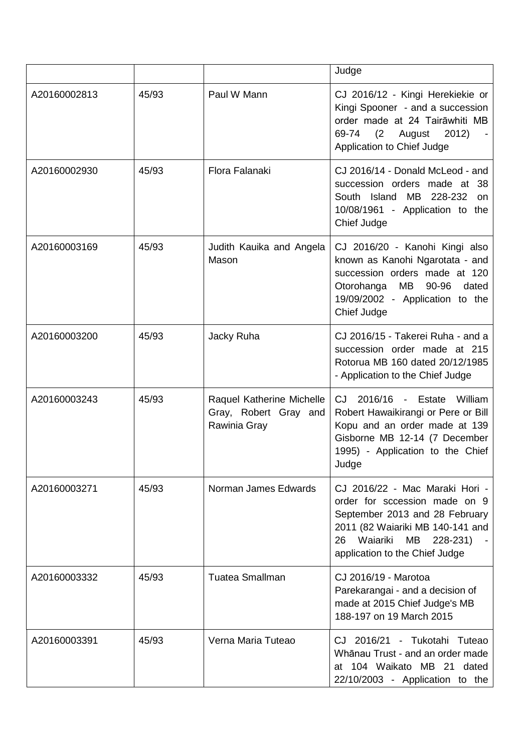|              |       |                                                                    | Judge                                                                                                                                                                                                       |
|--------------|-------|--------------------------------------------------------------------|-------------------------------------------------------------------------------------------------------------------------------------------------------------------------------------------------------------|
| A20160002813 | 45/93 | Paul W Mann                                                        | CJ 2016/12 - Kingi Herekiekie or<br>Kingi Spooner - and a succession<br>order made at 24 Tairāwhiti MB<br>(2 August<br>69-74<br>2012)<br>Application to Chief Judge                                         |
| A20160002930 | 45/93 | Flora Falanaki                                                     | CJ 2016/14 - Donald McLeod - and<br>succession orders made at 38<br>South Island MB 228-232<br><b>on</b><br>10/08/1961 - Application to the<br>Chief Judge                                                  |
| A20160003169 | 45/93 | Judith Kauika and Angela<br>Mason                                  | CJ 2016/20 - Kanohi Kingi also<br>known as Kanohi Ngarotata - and<br>succession orders made at 120<br>MB<br>90-96<br>Otorohanga<br>dated<br>19/09/2002 - Application to the<br>Chief Judge                  |
| A20160003200 | 45/93 | Jacky Ruha                                                         | CJ 2016/15 - Takerei Ruha - and a<br>succession order made at 215<br>Rotorua MB 160 dated 20/12/1985<br>- Application to the Chief Judge                                                                    |
| A20160003243 | 45/93 | Raquel Katherine Michelle<br>Gray, Robert Gray and<br>Rawinia Gray | CJ 2016/16 - Estate William<br>Robert Hawaikirangi or Pere or Bill<br>Kopu and an order made at 139<br>Gisborne MB 12-14 (7 December<br>1995) - Application to the Chief<br>Judge                           |
| A20160003271 | 45/93 | Norman James Edwards                                               | CJ 2016/22 - Mac Maraki Hori -<br>order for sccession made on 9<br>September 2013 and 28 February<br>2011 (82 Waiariki MB 140-141 and<br>26<br>Waiariki<br>МB<br>228-231)<br>application to the Chief Judge |
| A20160003332 | 45/93 | <b>Tuatea Smallman</b>                                             | CJ 2016/19 - Marotoa<br>Parekarangai - and a decision of<br>made at 2015 Chief Judge's MB<br>188-197 on 19 March 2015                                                                                       |
| A20160003391 | 45/93 | Verna Maria Tuteao                                                 | CJ 2016/21 - Tukotahi Tuteao<br>Whānau Trust - and an order made<br>at 104 Waikato MB 21 dated<br>22/10/2003 - Application to the                                                                           |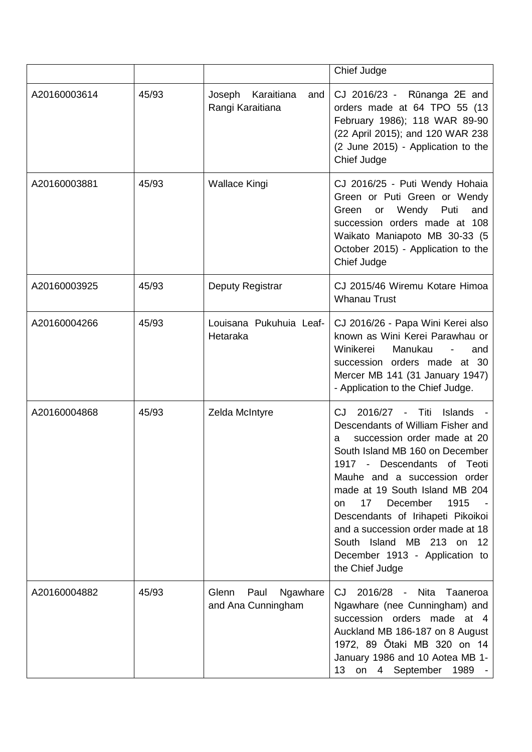|              |       |                                                 | Chief Judge                                                                                                                                                                                                                                                                                                                                                                                                                                          |
|--------------|-------|-------------------------------------------------|------------------------------------------------------------------------------------------------------------------------------------------------------------------------------------------------------------------------------------------------------------------------------------------------------------------------------------------------------------------------------------------------------------------------------------------------------|
| A20160003614 | 45/93 | Karaitiana<br>Joseph<br>and<br>Rangi Karaitiana | CJ 2016/23 - Rūnanga 2E and<br>orders made at 64 TPO 55 (13<br>February 1986); 118 WAR 89-90<br>(22 April 2015); and 120 WAR 238<br>(2 June 2015) - Application to the<br>Chief Judge                                                                                                                                                                                                                                                                |
| A20160003881 | 45/93 | Wallace Kingi                                   | CJ 2016/25 - Puti Wendy Hohaia<br>Green or Puti Green or Wendy<br>Wendy<br>Green<br>Puti<br>and<br>or<br>succession orders made at 108<br>Waikato Maniapoto MB 30-33 (5<br>October 2015) - Application to the<br>Chief Judge                                                                                                                                                                                                                         |
| A20160003925 | 45/93 | Deputy Registrar                                | CJ 2015/46 Wiremu Kotare Himoa<br><b>Whanau Trust</b>                                                                                                                                                                                                                                                                                                                                                                                                |
| A20160004266 | 45/93 | Louisana Pukuhuia Leaf-<br>Hetaraka             | CJ 2016/26 - Papa Wini Kerei also<br>known as Wini Kerei Parawhau or<br>Winikerei<br>Manukau<br>and<br>$\overline{\phantom{a}}$<br>succession orders made at 30<br>Mercer MB 141 (31 January 1947)<br>- Application to the Chief Judge.                                                                                                                                                                                                              |
| A20160004868 | 45/93 | Zelda McIntyre                                  | 2016/27<br>- Titi<br><b>Islands</b><br>CJ.<br>Descendants of William Fisher and<br>succession order made at 20<br>a<br>South Island MB 160 on December<br>1917 - Descendants of Teoti<br>Mauhe and a succession order<br>made at 19 South Island MB 204<br>17<br>December<br>1915<br>on.<br>Descendants of Irihapeti Pikoikoi<br>and a succession order made at 18<br>South Island MB 213 on 12<br>December 1913 - Application to<br>the Chief Judge |
| A20160004882 | 45/93 | Paul<br>Glenn<br>Ngawhare<br>and Ana Cunningham | 2016/28<br>CJ<br>- Nita<br>Taaneroa<br>Ngawhare (nee Cunningham) and<br>succession orders made at 4<br>Auckland MB 186-187 on 8 August<br>1972, 89 Otaki MB 320 on 14<br>January 1986 and 10 Aotea MB 1-<br>13<br>on<br>September 1989 -<br>$\overline{4}$                                                                                                                                                                                           |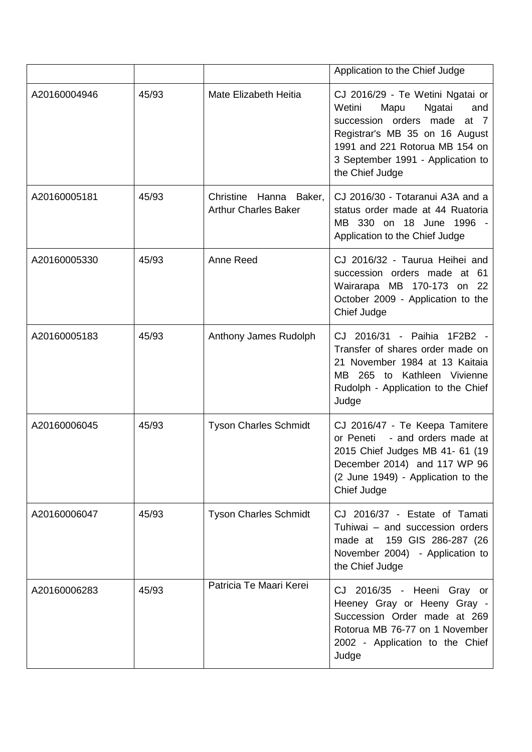|              |       |                                                       | Application to the Chief Judge                                                                                                                                                                                                      |
|--------------|-------|-------------------------------------------------------|-------------------------------------------------------------------------------------------------------------------------------------------------------------------------------------------------------------------------------------|
| A20160004946 | 45/93 | Mate Elizabeth Heitia                                 | CJ 2016/29 - Te Wetini Ngatai or<br>Mapu<br>Wetini<br>Ngatai<br>and<br>succession orders made<br>at $7$<br>Registrar's MB 35 on 16 August<br>1991 and 221 Rotorua MB 154 on<br>3 September 1991 - Application to<br>the Chief Judge |
| A20160005181 | 45/93 | Christine Hanna Baker,<br><b>Arthur Charles Baker</b> | CJ 2016/30 - Totaranui A3A and a<br>status order made at 44 Ruatoria<br>MB 330 on 18 June 1996<br>Application to the Chief Judge                                                                                                    |
| A20160005330 | 45/93 | Anne Reed                                             | CJ 2016/32 - Taurua Heihei and<br>succession orders made at 61<br>Wairarapa MB 170-173 on 22<br>October 2009 - Application to the<br>Chief Judge                                                                                    |
| A20160005183 | 45/93 | Anthony James Rudolph                                 | CJ 2016/31 - Paihia 1F2B2 -<br>Transfer of shares order made on<br>21 November 1984 at 13 Kaitaia<br>MB 265 to Kathleen Vivienne<br>Rudolph - Application to the Chief<br>Judge                                                     |
| A20160006045 | 45/93 | <b>Tyson Charles Schmidt</b>                          | CJ 2016/47 - Te Keepa Tamitere<br>- and orders made at<br>or Peneti<br>2015 Chief Judges MB 41- 61 (19<br>December 2014) and 117 WP 96<br>(2 June 1949) - Application to the<br>Chief Judge                                         |
| A20160006047 | 45/93 | <b>Tyson Charles Schmidt</b>                          | CJ 2016/37 - Estate of Tamati<br>Tuhiwai - and succession orders<br>made at 159 GIS 286-287 (26<br>November 2004) - Application to<br>the Chief Judge                                                                               |
| A20160006283 | 45/93 | Patricia Te Maari Kerei                               | CJ 2016/35 - Heeni Gray or<br>Heeney Gray or Heeny Gray -<br>Succession Order made at 269<br>Rotorua MB 76-77 on 1 November<br>2002 - Application to the Chief<br>Judge                                                             |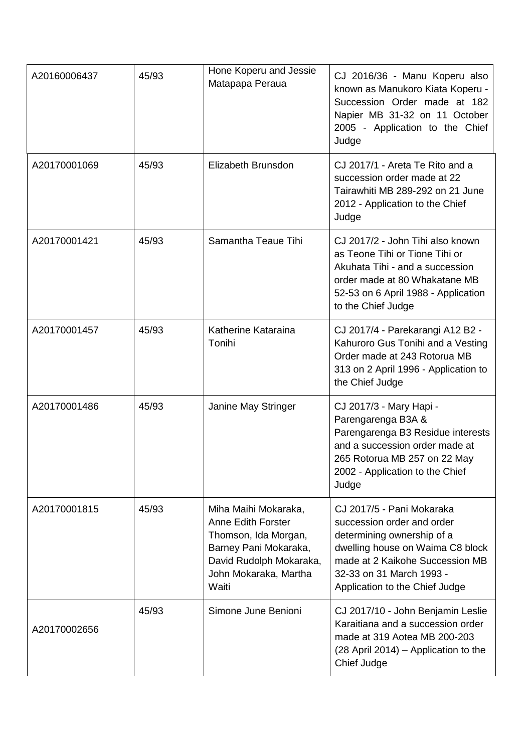| A20160006437 | 45/93 | Hone Koperu and Jessie<br>Matapapa Peraua                                                                                                                       | CJ 2016/36 - Manu Koperu also<br>known as Manukoro Kiata Koperu -<br>Succession Order made at 182<br>Napier MB 31-32 on 11 October<br>2005 - Application to the Chief<br>Judge                                             |
|--------------|-------|-----------------------------------------------------------------------------------------------------------------------------------------------------------------|----------------------------------------------------------------------------------------------------------------------------------------------------------------------------------------------------------------------------|
| A20170001069 | 45/93 | Elizabeth Brunsdon                                                                                                                                              | CJ 2017/1 - Areta Te Rito and a<br>succession order made at 22<br>Tairawhiti MB 289-292 on 21 June<br>2012 - Application to the Chief<br>Judge                                                                             |
| A20170001421 | 45/93 | Samantha Teaue Tihi                                                                                                                                             | CJ 2017/2 - John Tihi also known<br>as Teone Tihi or Tione Tihi or<br>Akuhata Tihi - and a succession<br>order made at 80 Whakatane MB<br>52-53 on 6 April 1988 - Application<br>to the Chief Judge                        |
| A20170001457 | 45/93 | Katherine Kataraina<br>Tonihi                                                                                                                                   | CJ 2017/4 - Parekarangi A12 B2 -<br>Kahuroro Gus Tonihi and a Vesting<br>Order made at 243 Rotorua MB<br>313 on 2 April 1996 - Application to<br>the Chief Judge                                                           |
| A20170001486 | 45/93 | Janine May Stringer                                                                                                                                             | CJ 2017/3 - Mary Hapi -<br>Parengarenga B3A &<br>Parengarenga B3 Residue interests<br>and a succession order made at<br>265 Rotorua MB 257 on 22 May<br>2002 - Application to the Chief<br>Judge                           |
| A20170001815 | 45/93 | Miha Maihi Mokaraka,<br><b>Anne Edith Forster</b><br>Thomson, Ida Morgan,<br>Barney Pani Mokaraka,<br>David Rudolph Mokaraka,<br>John Mokaraka, Martha<br>Waiti | CJ 2017/5 - Pani Mokaraka<br>succession order and order<br>determining ownership of a<br>dwelling house on Waima C8 block<br>made at 2 Kaikohe Succession MB<br>32-33 on 31 March 1993 -<br>Application to the Chief Judge |
| A20170002656 | 45/93 | Simone June Benioni                                                                                                                                             | CJ 2017/10 - John Benjamin Leslie<br>Karaitiana and a succession order<br>made at 319 Aotea MB 200-203<br>(28 April 2014) – Application to the<br>Chief Judge                                                              |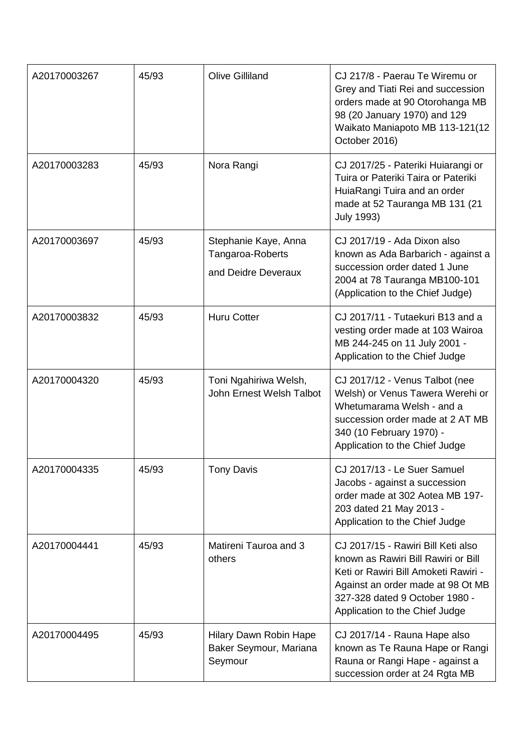| A20170003267 | 45/93 | <b>Olive Gilliland</b>                                          | CJ 217/8 - Paerau Te Wiremu or<br>Grey and Tiati Rei and succession<br>orders made at 90 Otorohanga MB<br>98 (20 January 1970) and 129<br>Waikato Maniapoto MB 113-121(12<br>October 2016)                                 |
|--------------|-------|-----------------------------------------------------------------|----------------------------------------------------------------------------------------------------------------------------------------------------------------------------------------------------------------------------|
| A20170003283 | 45/93 | Nora Rangi                                                      | CJ 2017/25 - Pateriki Huiarangi or<br>Tuira or Pateriki Taira or Pateriki<br>HuiaRangi Tuira and an order<br>made at 52 Tauranga MB 131 (21<br><b>July 1993)</b>                                                           |
| A20170003697 | 45/93 | Stephanie Kaye, Anna<br>Tangaroa-Roberts<br>and Deidre Deveraux | CJ 2017/19 - Ada Dixon also<br>known as Ada Barbarich - against a<br>succession order dated 1 June<br>2004 at 78 Tauranga MB100-101<br>(Application to the Chief Judge)                                                    |
| A20170003832 | 45/93 | <b>Huru Cotter</b>                                              | CJ 2017/11 - Tutaekuri B13 and a<br>vesting order made at 103 Wairoa<br>MB 244-245 on 11 July 2001 -<br>Application to the Chief Judge                                                                                     |
| A20170004320 | 45/93 | Toni Ngahiriwa Welsh,<br>John Ernest Welsh Talbot               | CJ 2017/12 - Venus Talbot (nee<br>Welsh) or Venus Tawera Werehi or<br>Whetumarama Welsh - and a<br>succession order made at 2 AT MB<br>340 (10 February 1970) -<br>Application to the Chief Judge                          |
| A20170004335 | 45/93 | <b>Tony Davis</b>                                               | CJ 2017/13 - Le Suer Samuel<br>Jacobs - against a succession<br>order made at 302 Aotea MB 197-<br>203 dated 21 May 2013 -<br>Application to the Chief Judge                                                               |
| A20170004441 | 45/93 | Matireni Tauroa and 3<br>others                                 | CJ 2017/15 - Rawiri Bill Keti also<br>known as Rawiri Bill Rawiri or Bill<br>Keti or Rawiri Bill Amoketi Rawiri -<br>Against an order made at 98 Ot MB<br>327-328 dated 9 October 1980 -<br>Application to the Chief Judge |
| A20170004495 | 45/93 | Hilary Dawn Robin Hape<br>Baker Seymour, Mariana<br>Seymour     | CJ 2017/14 - Rauna Hape also<br>known as Te Rauna Hape or Rangi<br>Rauna or Rangi Hape - against a<br>succession order at 24 Rgta MB                                                                                       |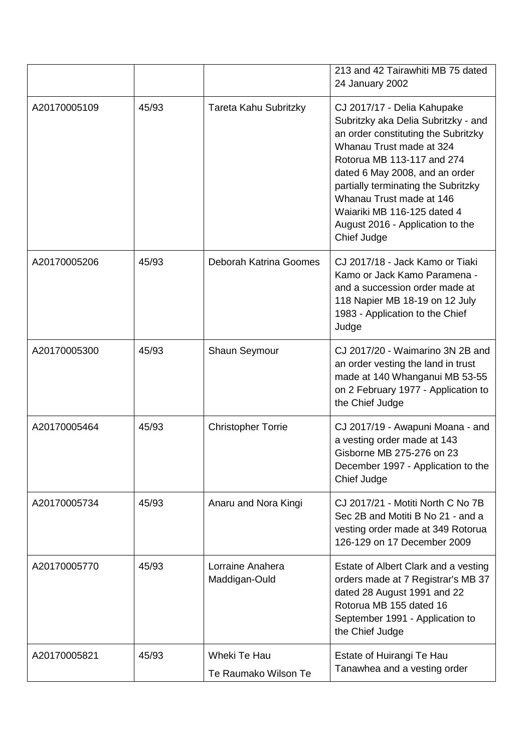|              |       |                                      | 213 and 42 Tairawhiti MB 75 dated<br>24 January 2002                                                                                                                                                                                                                                                                                                       |
|--------------|-------|--------------------------------------|------------------------------------------------------------------------------------------------------------------------------------------------------------------------------------------------------------------------------------------------------------------------------------------------------------------------------------------------------------|
| A20170005109 | 45/93 | Tareta Kahu Subritzky                | CJ 2017/17 - Delia Kahupake<br>Subritzky aka Delia Subritzky - and<br>an order constituting the Subritzky<br>Whanau Trust made at 324<br>Rotorua MB 113-117 and 274<br>dated 6 May 2008, and an order<br>partially terminating the Subritzky<br>Whanau Trust made at 146<br>Waiariki MB 116-125 dated 4<br>August 2016 - Application to the<br>Chief Judge |
| A20170005206 | 45/93 | Deborah Katrina Goomes               | CJ 2017/18 - Jack Kamo or Tiaki<br>Kamo or Jack Kamo Paramena -<br>and a succession order made at<br>118 Napier MB 18-19 on 12 July<br>1983 - Application to the Chief<br>Judge                                                                                                                                                                            |
| A20170005300 | 45/93 | Shaun Seymour                        | CJ 2017/20 - Waimarino 3N 2B and<br>an order vesting the land in trust<br>made at 140 Whanganui MB 53-55<br>on 2 February 1977 - Application to<br>the Chief Judge                                                                                                                                                                                         |
| A20170005464 | 45/93 | <b>Christopher Torrie</b>            | CJ 2017/19 - Awapuni Moana - and<br>a vesting order made at 143<br>Gisborne MB 275-276 on 23<br>December 1997 - Application to the<br>Chief Judge                                                                                                                                                                                                          |
| A20170005734 | 45/93 | Anaru and Nora Kingi                 | CJ 2017/21 - Motiti North C No 7B<br>Sec 2B and Motiti B No 21 - and a<br>vesting order made at 349 Rotorua<br>126-129 on 17 December 2009                                                                                                                                                                                                                 |
| A20170005770 | 45/93 | Lorraine Anahera<br>Maddigan-Ould    | Estate of Albert Clark and a vesting<br>orders made at 7 Registrar's MB 37<br>dated 28 August 1991 and 22<br>Rotorua MB 155 dated 16<br>September 1991 - Application to<br>the Chief Judge                                                                                                                                                                 |
| A20170005821 | 45/93 | Wheki Te Hau<br>Te Raumako Wilson Te | Estate of Huirangi Te Hau<br>Tanawhea and a vesting order                                                                                                                                                                                                                                                                                                  |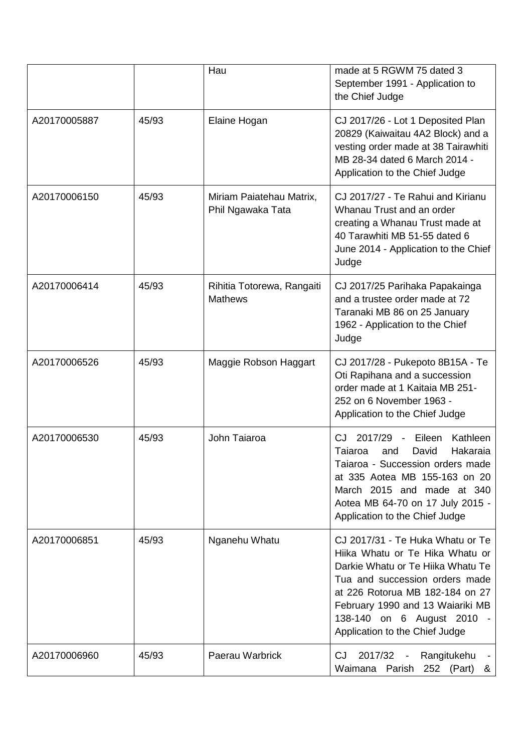|              |       | Hau                                           | made at 5 RGWM 75 dated 3<br>September 1991 - Application to<br>the Chief Judge                                                                                                                                                                                                 |
|--------------|-------|-----------------------------------------------|---------------------------------------------------------------------------------------------------------------------------------------------------------------------------------------------------------------------------------------------------------------------------------|
| A20170005887 | 45/93 | Elaine Hogan                                  | CJ 2017/26 - Lot 1 Deposited Plan<br>20829 (Kaiwaitau 4A2 Block) and a<br>vesting order made at 38 Tairawhiti<br>MB 28-34 dated 6 March 2014 -<br>Application to the Chief Judge                                                                                                |
| A20170006150 | 45/93 | Miriam Paiatehau Matrix,<br>Phil Ngawaka Tata | CJ 2017/27 - Te Rahui and Kirianu<br>Whanau Trust and an order<br>creating a Whanau Trust made at<br>40 Tarawhiti MB 51-55 dated 6<br>June 2014 - Application to the Chief<br>Judge                                                                                             |
| A20170006414 | 45/93 | Rihitia Totorewa, Rangaiti<br><b>Mathews</b>  | CJ 2017/25 Parihaka Papakainga<br>and a trustee order made at 72<br>Taranaki MB 86 on 25 January<br>1962 - Application to the Chief<br>Judge                                                                                                                                    |
| A20170006526 | 45/93 | Maggie Robson Haggart                         | CJ 2017/28 - Pukepoto 8B15A - Te<br>Oti Rapihana and a succession<br>order made at 1 Kaitaia MB 251-<br>252 on 6 November 1963 -<br>Application to the Chief Judge                                                                                                              |
| A20170006530 | 45/93 | John Taiaroa                                  | 2017/29 -<br>Eileen<br>Kathleen<br>CJ<br>Hakaraia<br>Taiaroa<br>David<br>and<br>Taiaroa - Succession orders made<br>at 335 Aotea MB 155-163 on 20<br>March 2015 and made at 340<br>Aotea MB 64-70 on 17 July 2015 -<br>Application to the Chief Judge                           |
| A20170006851 | 45/93 | Nganehu Whatu                                 | CJ 2017/31 - Te Huka Whatu or Te<br>Hiika Whatu or Te Hika Whatu or<br>Darkie Whatu or Te Hiika Whatu Te<br>Tua and succession orders made<br>at 226 Rotorua MB 182-184 on 27<br>February 1990 and 13 Waiariki MB<br>138-140 on 6 August 2010<br>Application to the Chief Judge |
| A20170006960 | 45/93 | Paerau Warbrick                               | 2017/32<br>Rangitukehu<br>CJ.<br>Waimana<br>Parish<br>252 (Part)<br>&                                                                                                                                                                                                           |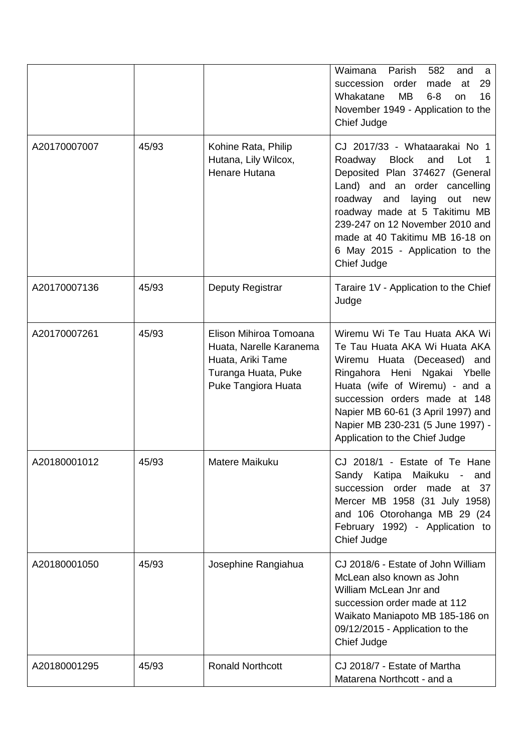|              |       |                                                                                                                      | Waimana<br>Parish<br>582<br>and<br>a<br>order<br>succession<br>made<br>at<br>29<br><b>MB</b><br>$6 - 8$<br>16<br>Whakatane<br>on<br>November 1949 - Application to the<br>Chief Judge                                                                                                                                                     |
|--------------|-------|----------------------------------------------------------------------------------------------------------------------|-------------------------------------------------------------------------------------------------------------------------------------------------------------------------------------------------------------------------------------------------------------------------------------------------------------------------------------------|
| A20170007007 | 45/93 | Kohine Rata, Philip<br>Hutana, Lily Wilcox,<br>Henare Hutana                                                         | CJ 2017/33 - Whataarakai No 1<br><b>Block</b><br>Roadway<br>and<br>Lot<br>Deposited Plan 374627 (General<br>Land) and an order cancelling<br>roadway<br>laying<br>out new<br>and<br>roadway made at 5 Takitimu MB<br>239-247 on 12 November 2010 and<br>made at 40 Takitimu MB 16-18 on<br>6 May 2015 - Application to the<br>Chief Judge |
| A20170007136 | 45/93 | Deputy Registrar                                                                                                     | Taraire 1V - Application to the Chief<br>Judge                                                                                                                                                                                                                                                                                            |
| A20170007261 | 45/93 | Elison Mihiroa Tomoana<br>Huata, Narelle Karanema<br>Huata, Ariki Tame<br>Turanga Huata, Puke<br>Puke Tangiora Huata | Wiremu Wi Te Tau Huata AKA Wi<br>Te Tau Huata AKA Wi Huata AKA<br>Wiremu Huata (Deceased) and<br>Ringahora Heni Ngakai Ybelle<br>Huata (wife of Wiremu) - and a<br>succession orders made at 148<br>Napier MB 60-61 (3 April 1997) and<br>Napier MB 230-231 (5 June 1997) -<br>Application to the Chief Judge                             |
| A20180001012 | 45/93 | Matere Maikuku                                                                                                       | CJ 2018/1 - Estate of Te Hane<br>Sandy Katipa Maikuku -<br>and<br>succession order<br>made<br>37<br>at<br>Mercer MB 1958 (31 July 1958)<br>and 106 Otorohanga MB 29 (24<br>February 1992) - Application to<br>Chief Judge                                                                                                                 |
| A20180001050 | 45/93 | Josephine Rangiahua                                                                                                  | CJ 2018/6 - Estate of John William<br>McLean also known as John<br>William McLean Jnr and<br>succession order made at 112<br>Waikato Maniapoto MB 185-186 on<br>09/12/2015 - Application to the<br>Chief Judge                                                                                                                            |
| A20180001295 | 45/93 | <b>Ronald Northcott</b>                                                                                              | CJ 2018/7 - Estate of Martha<br>Matarena Northcott - and a                                                                                                                                                                                                                                                                                |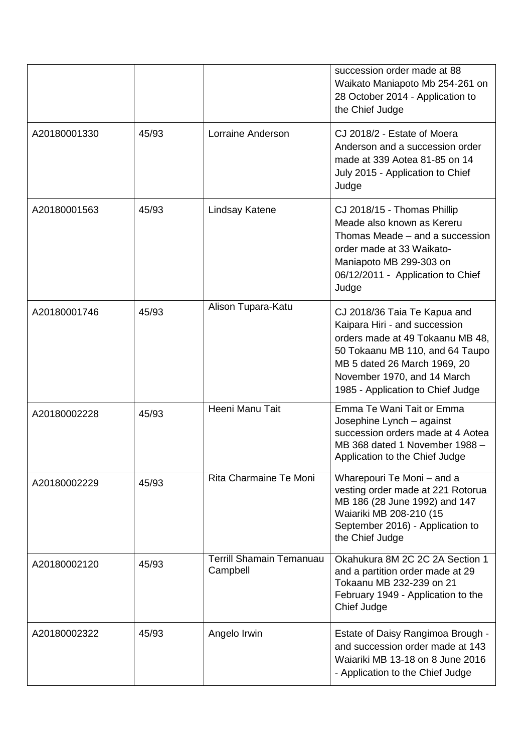|              |       |                                             | succession order made at 88<br>Waikato Maniapoto Mb 254-261 on<br>28 October 2014 - Application to<br>the Chief Judge                                                                                                                    |
|--------------|-------|---------------------------------------------|------------------------------------------------------------------------------------------------------------------------------------------------------------------------------------------------------------------------------------------|
| A20180001330 | 45/93 | Lorraine Anderson                           | CJ 2018/2 - Estate of Moera<br>Anderson and a succession order<br>made at 339 Aotea 81-85 on 14<br>July 2015 - Application to Chief<br>Judge                                                                                             |
| A20180001563 | 45/93 | Lindsay Katene                              | CJ 2018/15 - Thomas Phillip<br>Meade also known as Kereru<br>Thomas Meade - and a succession<br>order made at 33 Waikato-<br>Maniapoto MB 299-303 on<br>06/12/2011 - Application to Chief<br>Judge                                       |
| A20180001746 | 45/93 | Alison Tupara-Katu                          | CJ 2018/36 Taia Te Kapua and<br>Kaipara Hiri - and succession<br>orders made at 49 Tokaanu MB 48,<br>50 Tokaanu MB 110, and 64 Taupo<br>MB 5 dated 26 March 1969, 20<br>November 1970, and 14 March<br>1985 - Application to Chief Judge |
| A20180002228 | 45/93 | Heeni Manu Tait                             | Emma Te Wani Tait or Emma<br>Josephine Lynch - against<br>succession orders made at 4 Aotea<br>MB 368 dated 1 November 1988 -<br>Application to the Chief Judge                                                                          |
| A20180002229 | 45/93 | Rita Charmaine Te Moni                      | Wharepouri Te Moni - and a<br>vesting order made at 221 Rotorua<br>MB 186 (28 June 1992) and 147<br>Waiariki MB 208-210 (15<br>September 2016) - Application to<br>the Chief Judge                                                       |
| A20180002120 | 45/93 | <b>Terrill Shamain Temanuau</b><br>Campbell | Okahukura 8M 2C 2C 2A Section 1<br>and a partition order made at 29<br>Tokaanu MB 232-239 on 21<br>February 1949 - Application to the<br>Chief Judge                                                                                     |
| A20180002322 | 45/93 | Angelo Irwin                                | Estate of Daisy Rangimoa Brough -<br>and succession order made at 143<br>Waiariki MB 13-18 on 8 June 2016<br>- Application to the Chief Judge                                                                                            |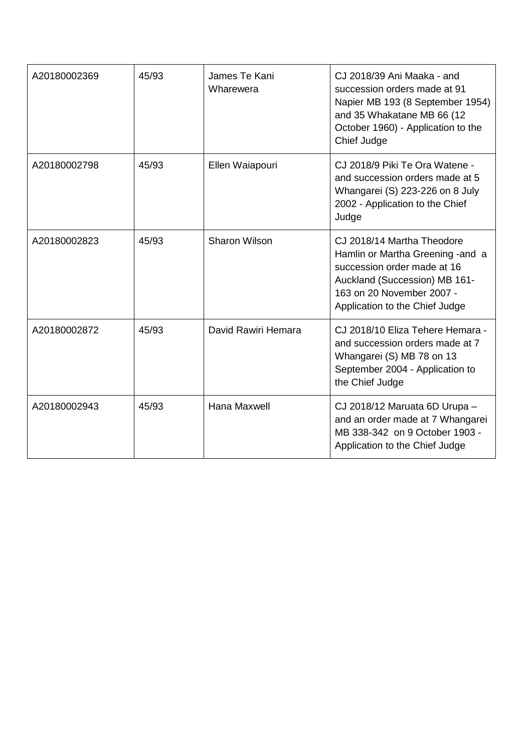| A20180002369 | 45/93 | James Te Kani<br>Wharewera | CJ 2018/39 Ani Maaka - and<br>succession orders made at 91<br>Napier MB 193 (8 September 1954)<br>and 35 Whakatane MB 66 (12<br>October 1960) - Application to the<br>Chief Judge              |
|--------------|-------|----------------------------|------------------------------------------------------------------------------------------------------------------------------------------------------------------------------------------------|
| A20180002798 | 45/93 | Ellen Waiapouri            | CJ 2018/9 Piki Te Ora Watene -<br>and succession orders made at 5<br>Whangarei (S) 223-226 on 8 July<br>2002 - Application to the Chief<br>Judge                                               |
| A20180002823 | 45/93 | <b>Sharon Wilson</b>       | CJ 2018/14 Martha Theodore<br>Hamlin or Martha Greening - and a<br>succession order made at 16<br>Auckland (Succession) MB 161-<br>163 on 20 November 2007 -<br>Application to the Chief Judge |
| A20180002872 | 45/93 | David Rawiri Hemara        | CJ 2018/10 Eliza Tehere Hemara -<br>and succession orders made at 7<br>Whangarei (S) MB 78 on 13<br>September 2004 - Application to<br>the Chief Judge                                         |
| A20180002943 | 45/93 | Hana Maxwell               | CJ 2018/12 Maruata 6D Urupa -<br>and an order made at 7 Whangarei<br>MB 338-342 on 9 October 1903 -<br>Application to the Chief Judge                                                          |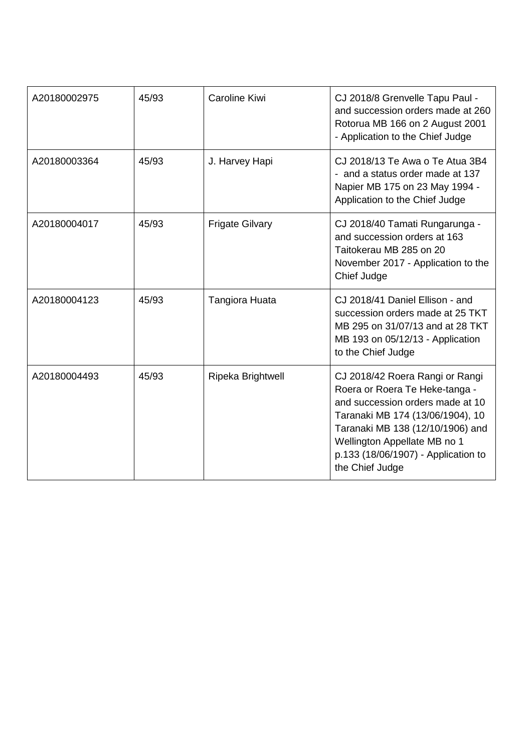| A20180002975 | 45/93 | <b>Caroline Kiwi</b>   | CJ 2018/8 Grenvelle Tapu Paul -<br>and succession orders made at 260<br>Rotorua MB 166 on 2 August 2001<br>- Application to the Chief Judge                                                                                                                             |
|--------------|-------|------------------------|-------------------------------------------------------------------------------------------------------------------------------------------------------------------------------------------------------------------------------------------------------------------------|
| A20180003364 | 45/93 | J. Harvey Hapi         | CJ 2018/13 Te Awa o Te Atua 3B4<br>- and a status order made at 137<br>Napier MB 175 on 23 May 1994 -<br>Application to the Chief Judge                                                                                                                                 |
| A20180004017 | 45/93 | <b>Frigate Gilvary</b> | CJ 2018/40 Tamati Rungarunga -<br>and succession orders at 163<br>Taitokerau MB 285 on 20<br>November 2017 - Application to the<br>Chief Judge                                                                                                                          |
| A20180004123 | 45/93 | <b>Tangiora Huata</b>  | CJ 2018/41 Daniel Ellison - and<br>succession orders made at 25 TKT<br>MB 295 on 31/07/13 and at 28 TKT<br>MB 193 on 05/12/13 - Application<br>to the Chief Judge                                                                                                       |
| A20180004493 | 45/93 | Ripeka Brightwell      | CJ 2018/42 Roera Rangi or Rangi<br>Roera or Roera Te Heke-tanga -<br>and succession orders made at 10<br>Taranaki MB 174 (13/06/1904), 10<br>Taranaki MB 138 (12/10/1906) and<br>Wellington Appellate MB no 1<br>p.133 (18/06/1907) - Application to<br>the Chief Judge |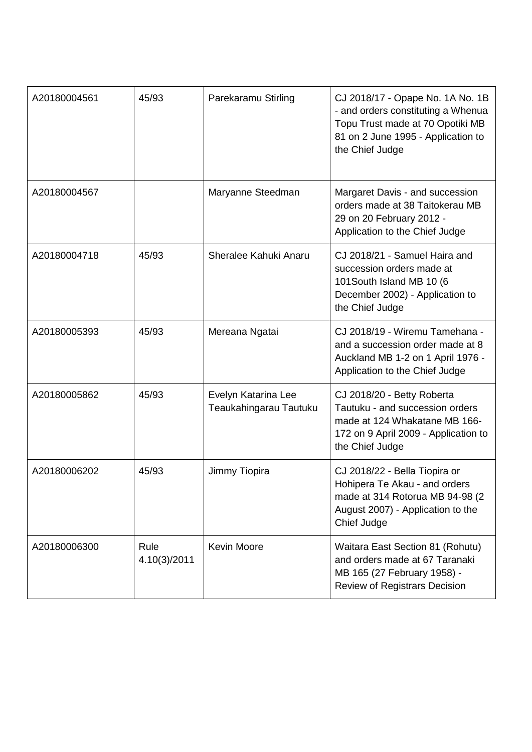| A20180004561 | 45/93                | Parekaramu Stirling                           | CJ 2018/17 - Opape No. 1A No. 1B<br>- and orders constituting a Whenua<br>Topu Trust made at 70 Opotiki MB<br>81 on 2 June 1995 - Application to<br>the Chief Judge |
|--------------|----------------------|-----------------------------------------------|---------------------------------------------------------------------------------------------------------------------------------------------------------------------|
| A20180004567 |                      | Maryanne Steedman                             | Margaret Davis - and succession<br>orders made at 38 Taitokerau MB<br>29 on 20 February 2012 -<br>Application to the Chief Judge                                    |
| A20180004718 | 45/93                | Sheralee Kahuki Anaru                         | CJ 2018/21 - Samuel Haira and<br>succession orders made at<br>101South Island MB 10 (6<br>December 2002) - Application to<br>the Chief Judge                        |
| A20180005393 | 45/93                | Mereana Ngatai                                | CJ 2018/19 - Wiremu Tamehana -<br>and a succession order made at 8<br>Auckland MB 1-2 on 1 April 1976 -<br>Application to the Chief Judge                           |
| A20180005862 | 45/93                | Evelyn Katarina Lee<br>Teaukahingarau Tautuku | CJ 2018/20 - Betty Roberta<br>Tautuku - and succession orders<br>made at 124 Whakatane MB 166-<br>172 on 9 April 2009 - Application to<br>the Chief Judge           |
| A20180006202 | 45/93                | Jimmy Tiopira                                 | CJ 2018/22 - Bella Tiopira or<br>Hohipera Te Akau - and orders<br>made at 314 Rotorua MB 94-98 (2<br>August 2007) - Application to the<br>Chief Judge               |
| A20180006300 | Rule<br>4.10(3)/2011 | <b>Kevin Moore</b>                            | Waitara East Section 81 (Rohutu)<br>and orders made at 67 Taranaki<br>MB 165 (27 February 1958) -<br><b>Review of Registrars Decision</b>                           |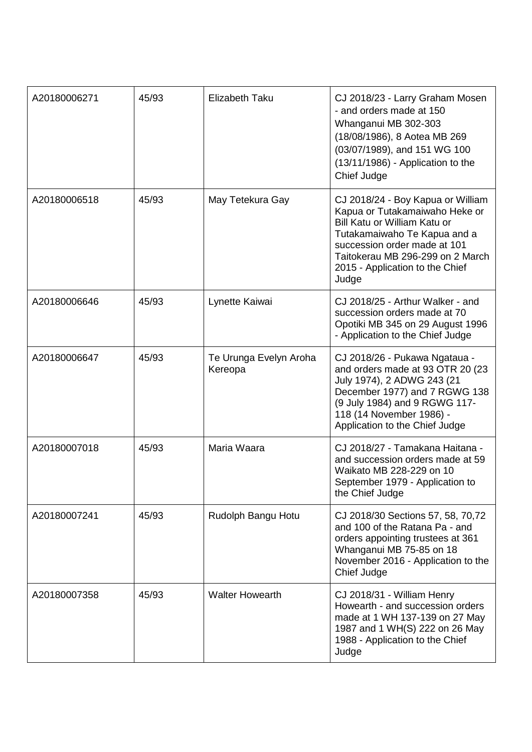| A20180006271 | 45/93 | <b>Elizabeth Taku</b>             | CJ 2018/23 - Larry Graham Mosen<br>- and orders made at 150<br>Whanganui MB 302-303<br>(18/08/1986), 8 Aotea MB 269<br>(03/07/1989), and 151 WG 100<br>(13/11/1986) - Application to the<br>Chief Judge                                             |
|--------------|-------|-----------------------------------|-----------------------------------------------------------------------------------------------------------------------------------------------------------------------------------------------------------------------------------------------------|
| A20180006518 | 45/93 | May Tetekura Gay                  | CJ 2018/24 - Boy Kapua or William<br>Kapua or Tutakamaiwaho Heke or<br>Bill Katu or William Katu or<br>Tutakamaiwaho Te Kapua and a<br>succession order made at 101<br>Taitokerau MB 296-299 on 2 March<br>2015 - Application to the Chief<br>Judge |
| A20180006646 | 45/93 | Lynette Kaiwai                    | CJ 2018/25 - Arthur Walker - and<br>succession orders made at 70<br>Opotiki MB 345 on 29 August 1996<br>- Application to the Chief Judge                                                                                                            |
| A20180006647 | 45/93 | Te Urunga Evelyn Aroha<br>Kereopa | CJ 2018/26 - Pukawa Ngataua -<br>and orders made at 93 OTR 20 (23<br>July 1974), 2 ADWG 243 (21<br>December 1977) and 7 RGWG 138<br>(9 July 1984) and 9 RGWG 117-<br>118 (14 November 1986) -<br>Application to the Chief Judge                     |
| A20180007018 | 45/93 | Maria Waara                       | CJ 2018/27 - Tamakana Haitana -<br>and succession orders made at 59<br>Waikato MB 228-229 on 10<br>September 1979 - Application to<br>the Chief Judge                                                                                               |
| A20180007241 | 45/93 | Rudolph Bangu Hotu                | CJ 2018/30 Sections 57, 58, 70,72<br>and 100 of the Ratana Pa - and<br>orders appointing trustees at 361<br>Whanganui MB 75-85 on 18<br>November 2016 - Application to the<br>Chief Judge                                                           |
| A20180007358 | 45/93 | <b>Walter Howearth</b>            | CJ 2018/31 - William Henry<br>Howearth - and succession orders<br>made at 1 WH 137-139 on 27 May<br>1987 and 1 WH(S) 222 on 26 May<br>1988 - Application to the Chief<br>Judge                                                                      |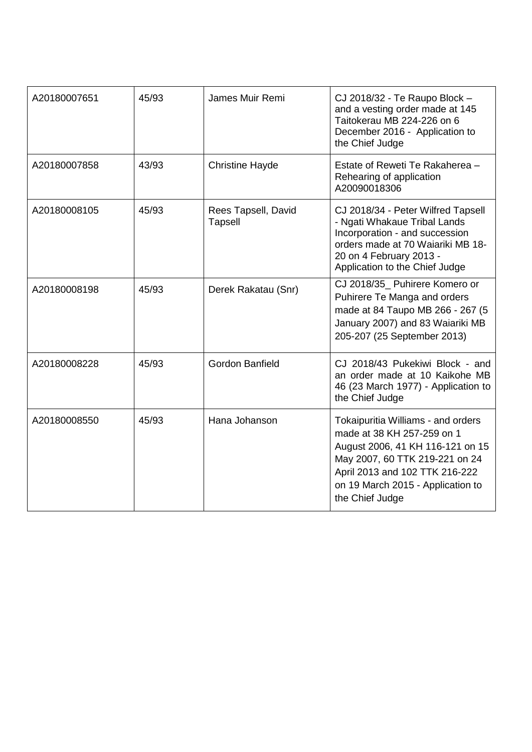| A20180007651 | 45/93 | James Muir Remi                       | CJ 2018/32 - Te Raupo Block -<br>and a vesting order made at 145<br>Taitokerau MB 224-226 on 6<br>December 2016 - Application to<br>the Chief Judge                                                                              |
|--------------|-------|---------------------------------------|----------------------------------------------------------------------------------------------------------------------------------------------------------------------------------------------------------------------------------|
| A20180007858 | 43/93 | <b>Christine Hayde</b>                | Estate of Reweti Te Rakaherea -<br>Rehearing of application<br>A20090018306                                                                                                                                                      |
| A20180008105 | 45/93 | Rees Tapsell, David<br><b>Tapsell</b> | CJ 2018/34 - Peter Wilfred Tapsell<br>- Ngati Whakaue Tribal Lands<br>Incorporation - and succession<br>orders made at 70 Waiariki MB 18-<br>20 on 4 February 2013 -<br>Application to the Chief Judge                           |
| A20180008198 | 45/93 | Derek Rakatau (Snr)                   | CJ 2018/35_ Puhirere Komero or<br>Puhirere Te Manga and orders<br>made at 84 Taupo MB 266 - 267 (5<br>January 2007) and 83 Waiariki MB<br>205-207 (25 September 2013)                                                            |
| A20180008228 | 45/93 | Gordon Banfield                       | CJ 2018/43 Pukekiwi Block - and<br>an order made at 10 Kaikohe MB<br>46 (23 March 1977) - Application to<br>the Chief Judge                                                                                                      |
| A20180008550 | 45/93 | Hana Johanson                         | Tokaipuritia Williams - and orders<br>made at 38 KH 257-259 on 1<br>August 2006, 41 KH 116-121 on 15<br>May 2007, 60 TTK 219-221 on 24<br>April 2013 and 102 TTK 216-222<br>on 19 March 2015 - Application to<br>the Chief Judge |